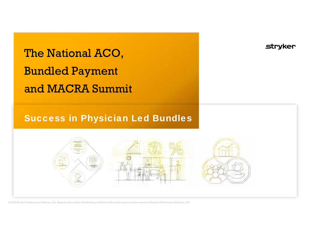# The National ACO, Bundled Payment and MACRA Summit

# Success in Physician Led Bundles

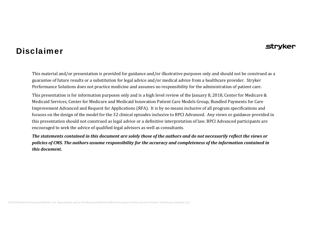### Disclaimer

#### strvker

This material and/or presentation is provided for guidance and/or illustrative purposes only and should not be construed as a guarantee of future results or a substitution for legal advice and/or medical advice from a healthcare provider. Stryker Performance Solutions does not practice medicine and assumes no responsibility for the administration of patient care.

This presentation is for information purposes only and is a high level review of the January 8, 2018, Center for Medicare & Medicaid Services, Center for Medicare and Medicaid Innovation Patient Care Models Group, Bundled Payments for Care Improvement Advanced and Request for Applications (RFA). It is by no means inclusive of all program specifications and focuses on the design of the model for the 32 clinical episodes inclusive to BPCI Advanced. Any views or guidance provided in this presentation should not construed as legal advice or a definitive interpretation of law. BPCI Advanced participants are encouraged to seek the advice of qualified legal advisors as well as consultants.

The statements contained in this document are solely those of the authors and do not necessarily reflect the views or policies of CMS. The authors assume responsibility for the accuracy and completeness of the information contained in *this document.*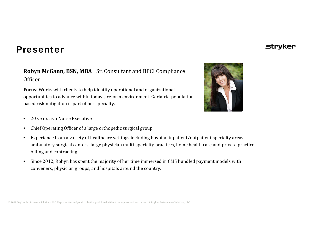# Presenter

#### **Robyn McGann, BSN, MBA** | Sr. Consultant and BPCI Compliance **Officer**

**Focus:** Works with clients to help identify operational and organizational opportunities to advance within today's reform environment. Geriatric‐population‐ based risk mitigation is part of her specialty.

- 20 years as a Nurse Executive
- •Chief Operating Officer of a large orthopedic surgical group
- Experience from a variety of healthcare settings including hospital inpatient/outpatient specialty areas, ambulatory surgical centers, large physician multi‐specialty practices, home health care and private practice billing and contracting
- Since 2012, Robyn has spent the majority of her time immersed in CMS bundled payment models with conveners, physician groups, and hospitals around the country.



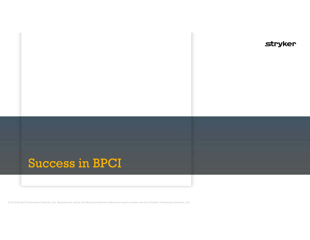# Success in BPCI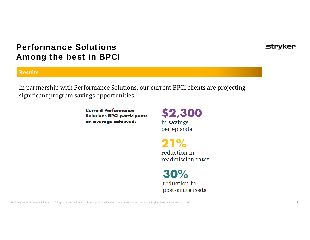# Performance Solutions Among the best in BPCI

#### **Results**

In partnership with Performance Solutions, our current BPCI clients are projecting significant program savings opportunities.

> **Current Performance Solutions BPCI participants** on average achieved:

\$2,300 in savings per episode

 $21%$ reduction in readmission rates

 $30%$ reduction in post-acute costs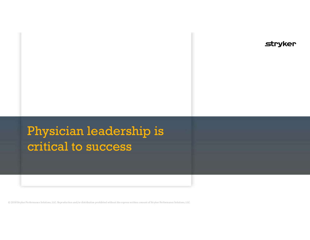# Physician leadership is critical to success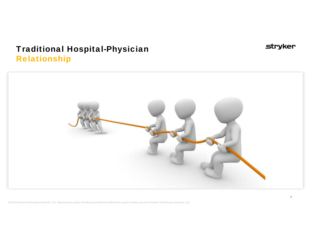# Traditional Hospital-Physician Relationship



**stryker**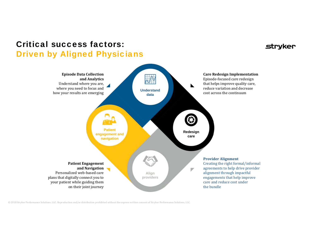# Critical success factors: Driven by Aligned Physicians

#### stryker

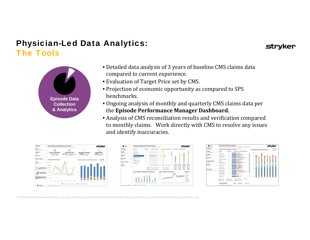# Physician-Led Data Analytics: The Tools



- Detailed data analysis of 3 years of baseline CMS claims data compared to current experience.
- Evaluation of Target Price set by CMS.
- Projection of economic opportunity as compared to SPS benchmarks.
- Ongoing analysis of monthly and quarterly CMS claims data per the **Episode Performance Manager Dashboard.**
- Analysis of CMS reconciliation results and verification compared to monthly claims. Work directly with CMS to resolve any issues and identify inaccuracies.

| Tonghame<br>÷<br>Les a domesti                                                                                                                                     | Lower Extremity Joint Regissement Costs and KPIs.<br>What factors contribute to CJR eucoves, and how are they trending?                                          |                                                                         | stryker                                                                             |
|--------------------------------------------------------------------------------------------------------------------------------------------------------------------|------------------------------------------------------------------------------------------------------------------------------------------------------------------|-------------------------------------------------------------------------|-------------------------------------------------------------------------------------|
| <b>Systems</b><br>×<br>Date of Hardle Estates<br><b>Hospital</b><br>v<br><b>DRG Code</b><br>×<br><b>MAIL COLL</b>                                                  | $\circ$<br>Cost vs Target Price<br>Post-Acute Cost<br>43.1% of line Episode Cost<br>115% of Target<br>V.A. P. Houston, an Annapolis all<br>La A South in books ( | <b>Discharged HomeHH</b><br>57.8% of Episodes<br>1.4.7. Spits in books. | $\sqrt{2}$<br><b>Readmit Rate</b><br>12.8% Restricted<br>1 A. P. Pagelo as Basediec |
| <b>Frashure Indianas</b><br>÷                                                                                                                                      | Average Cost Per Episode                                                                                                                                         | Number of Episodes by DRG and Fracture                                  | Date Type                                                                           |
| Distant<br>z<br><b>Now of</b><br>Joaqu & Cost by<br>Claim Role Type<br>ñ<br>Average Cost by<br>Claim Role Type<br><b>Benchmark Claim</b><br><b>Bule Comparison</b> | \$15,000<br>$100 - 200$<br><b>COLOR</b><br><b>Lender</b><br><b>SHOW</b><br><b>COM</b><br><b>STERN</b>                                                            | $\sim$<br>E<br>Ŧ                                                        | Sushing<br>ī                                                                        |
| <b>Service Control</b><br>O Gossey                                                                                                                                 | <b>ALC: YES</b><br><b>La bre</b><br><b>CAN THE</b><br>$-11$<br>Baltim Parce Baltimore<br>Partitions and Mar H. Britt, Ave.                                       | attitudent Early today                                                  |                                                                                     |





strvker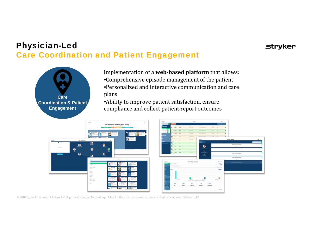# Physician-Led Care Coordination and Patient Engagement



Implementation of a **webbased platform** that allows: •Comprehensive episode management of the patient • Personalized and interactive communication and care plans

**stryker** 

• Ability to improve patient satisfaction, ensure compliance and collect patient report outcomes

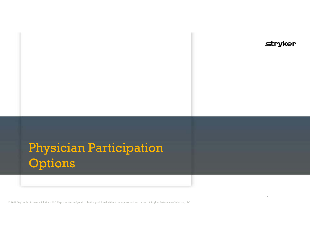# Physician Participation Options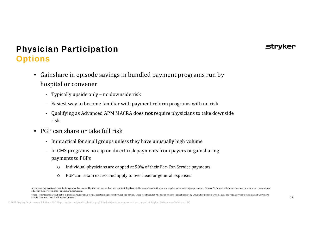### Strvker

# Physician Participation **Options**

- Gainshare in episode savings in bundled payment programs run by hospital or convener
	- Typically upside only no downside risk
	- Easiest way to become familiar with payment reform programs with no risk
	- Qualifying as Advanced APM MACRA does **not** require physicians to take downside risk
- PGP can share or take full risk
	- Impractical for small groups unless they have unusually high volume
	- In CMS programs no cap on direct risk payments from payers or gainsharing payments to PGPs
		- oIndividual physicians are capped at 50% of their Fee‐For‐Service payments
		- oPGP can retain excess and apply to overhead or general expenses

All gainsharing structures must be independently evaluated by the customer or Provider and their legal counsel for compliance with legal and regulatory gainsharing requirements. Stryker Performance Solutions does not provi advice in the development of a gainsharing structure.

These fee structures are subject to a final data review and a formal negotiation process between the parties. These fee structures will be subject to the guidelines set by CMS and compliance with all legal and regulatory r standard approval and due diligence process.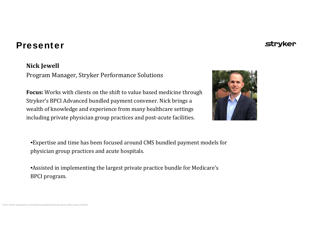## Presenter

#### **Nick Jewell**

Program Manager, Stryker Performance Solutions

**Focus:** Works with clients on the shift to value based medicine through Stryker's BPCI Advanced bundled payment convener. Nick brings a wealth of knowledge and experience from many healthcare settings including private physician group practices and post‐acute facilities.



• Expertise and time has been focused around CMS bundled payment models for physician group practices and acute hospitals.

• Assisted in implementing the largest private practice bundle for Medicare's BPCI program.

# **Strvker**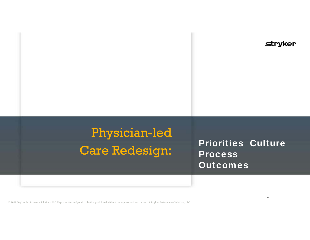# Physician-led Care Redesign:

Priorities Culture Process Outcomes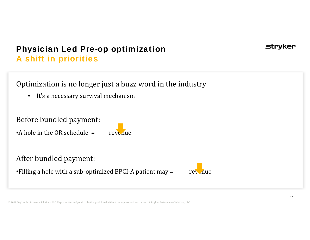# Physician Led Pre-op optimization A shift in priorities

Optimization is no longer just a buzz word in the industry

• It's a necessary survival mechanism

Before bundled payment:

•A hole in the OR schedule <sup>=</sup>revenue

## After bundled payment:

•Filling a hole with a sub-optimized BPCI-A patient may  $=$  revenue



strvker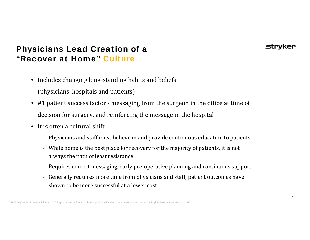# Physicians Lead Creation of a "Recover at Home" Culture

- Includes changing long-standing habits and beliefs
	- (physicians, hospitals and patients)
- #1 patient success factor messaging from the surgeon in the office at time of decision for surgery, and reinforcing the message in the hospital
- It is often a cultural shift
	- Physicians and staff must believe in and provide continuous education to patients
	- While home is the best place for recovery for the majority of patients, it is not always the path of least resistance
	- -Requires correct messaging, early pre‐operative planning and continuous support
	- Generally requires more time from physicians and staff; patient outcomes have shown to be more successful at a lower cost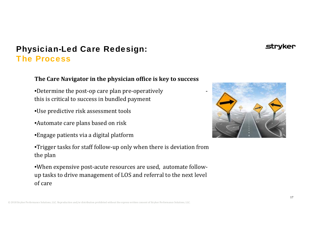## Physician-Led Care Redesign: The Process

#### **The Care Navigator in the physician office is key to success**

- •Determine the post-op care plan pre-operatively this is critical to success in bundled payment
- Use predictive risk assessment tools
- Automate care plans based on risk
- Engage patients via a digital platform



- •Trigger tasks for staff follow‐up only when there is deviation from the plan
- When expensive post‐acute resources are used, automate follow‐ up tasks to drive management of LOS and referral to the next level of care

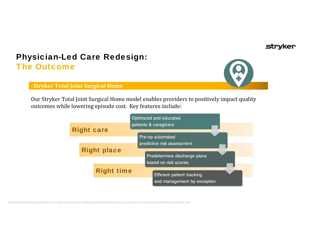#### strvker

# Physician-Led Care Redesign: The Outcome



**Stryker Total Joint Surgical Home**

Our Stryker Total Joint Surgical Home model enables providers to positively impact quality outcomes while lowering episode cost. Key features include:

|                    | Optimized and educated<br>patients & caregivers                                          |
|--------------------|------------------------------------------------------------------------------------------|
| <b>Right care</b>  | Pre-op automated                                                                         |
| <b>Right place</b> | predictive risk assessment<br>Predetermine discharge plans                               |
| <b>Right time</b>  | based on risk scores<br><b>Efficient patient tracking</b><br>and management by exception |